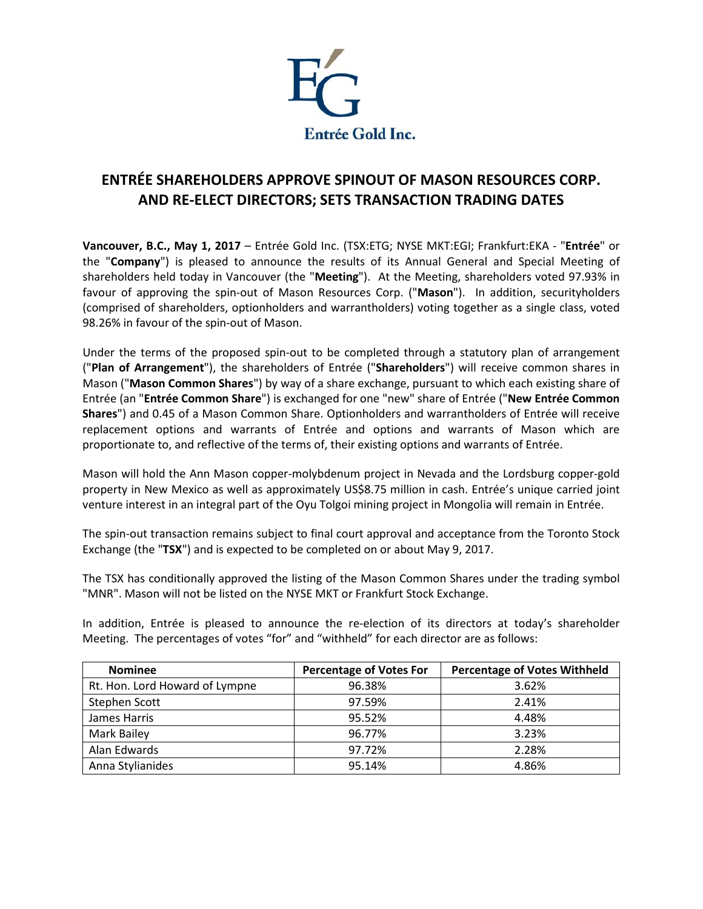

## **ENTRÉE SHAREHOLDERS APPROVE SPINOUT OF MASON RESOURCES CORP. AND RE-ELECT DIRECTORS; SETS TRANSACTION TRADING DATES**

**Vancouver, B.C., May 1, 2017** – Entrée Gold Inc. (TSX:ETG; NYSE MKT:EGI; Frankfurt:EKA - "**Entrée**" or the "**Company**") is pleased to announce the results of its Annual General and Special Meeting of shareholders held today in Vancouver (the "**Meeting**"). At the Meeting, shareholders voted 97.93% in favour of approving the spin-out of Mason Resources Corp. ("**Mason**"). In addition, securityholders (comprised of shareholders, optionholders and warrantholders) voting together as a single class, voted 98.26% in favour of the spin-out of Mason.

Under the terms of the proposed spin-out to be completed through a statutory plan of arrangement ("**Plan of Arrangement**"), the shareholders of Entrée ("**Shareholders**") will receive common shares in Mason ("**Mason Common Shares**") by way of a share exchange, pursuant to which each existing share of Entrée (an "**Entrée Common Share**") is exchanged for one "new" share of Entrée ("**New Entrée Common Shares**") and 0.45 of a Mason Common Share. Optionholders and warrantholders of Entrée will receive replacement options and warrants of Entrée and options and warrants of Mason which are proportionate to, and reflective of the terms of, their existing options and warrants of Entrée.

Mason will hold the Ann Mason copper-molybdenum project in Nevada and the Lordsburg copper-gold property in New Mexico as well as approximately US\$8.75 million in cash. Entrée's unique carried joint venture interest in an integral part of the Oyu Tolgoi mining project in Mongolia will remain in Entrée.

The spin-out transaction remains subject to final court approval and acceptance from the Toronto Stock Exchange (the "**TSX**") and is expected to be completed on or about May 9, 2017.

The TSX has conditionally approved the listing of the Mason Common Shares under the trading symbol "MNR". Mason will not be listed on the NYSE MKT or Frankfurt Stock Exchange.

In addition, Entrée is pleased to announce the re-election of its directors at today's shareholder Meeting. The percentages of votes "for" and "withheld" for each director are as follows:

| <b>Nominee</b>                 | <b>Percentage of Votes For</b> | <b>Percentage of Votes Withheld</b> |
|--------------------------------|--------------------------------|-------------------------------------|
| Rt. Hon. Lord Howard of Lympne | 96.38%                         | 3.62%                               |
| Stephen Scott                  | 97.59%                         | 2.41%                               |
| James Harris                   | 95.52%                         | 4.48%                               |
| Mark Bailey                    | 96.77%                         | 3.23%                               |
| Alan Edwards                   | 97.72%                         | 2.28%                               |
| Anna Stylianides               | 95.14%                         | 4.86%                               |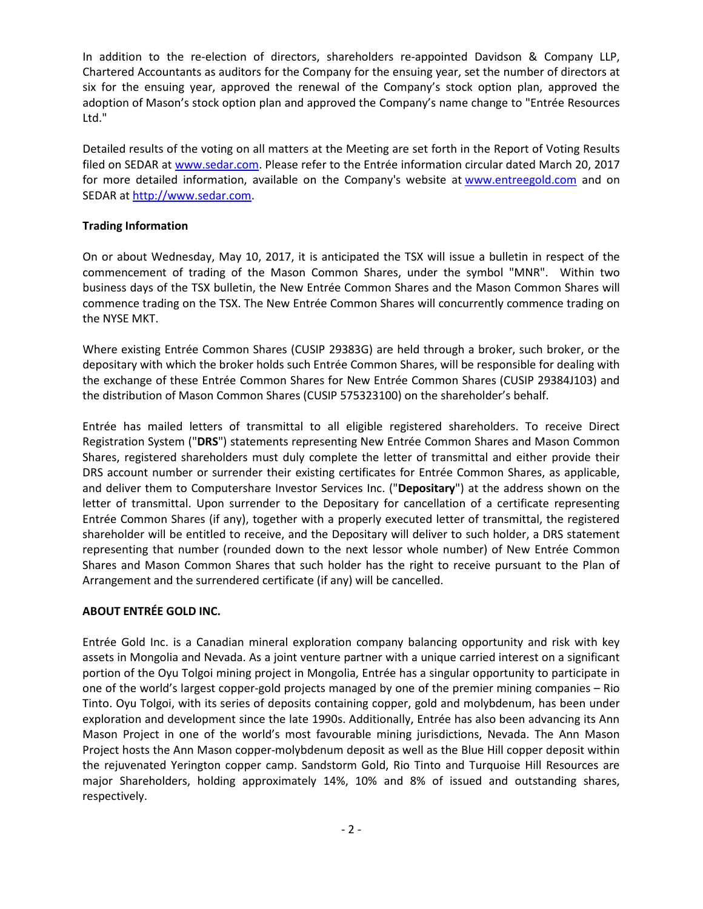In addition to the re-election of directors, shareholders re-appointed Davidson & Company LLP, Chartered Accountants as auditors for the Company for the ensuing year, set the number of directors at six for the ensuing year, approved the renewal of the Company's stock option plan, approved the adoption of Mason's stock option plan and approved the Company's name change to "Entrée Resources Ltd."

Detailed results of the voting on all matters at the Meeting are set forth in the Report of Voting Results filed on SEDAR at [www.sedar.com.](http://www.sedar.com/) Please refer to the Entrée information circular dated March 20, 2017 for more detailed information, available on the Company's website at [www.entreegold.com](http://www.entreegold.com/) and on SEDAR a[t http://www.sedar.com.](http://www.sedar.com/)

## **Trading Information**

On or about Wednesday, May 10, 2017, it is anticipated the TSX will issue a bulletin in respect of the commencement of trading of the Mason Common Shares, under the symbol "MNR". Within two business days of the TSX bulletin, the New Entrée Common Shares and the Mason Common Shares will commence trading on the TSX. The New Entrée Common Shares will concurrently commence trading on the NYSE MKT.

Where existing Entrée Common Shares (CUSIP 29383G) are held through a broker, such broker, or the depositary with which the broker holds such Entrée Common Shares, will be responsible for dealing with the exchange of these Entrée Common Shares for New Entrée Common Shares (CUSIP 29384J103) and the distribution of Mason Common Shares (CUSIP 575323100) on the shareholder's behalf.

Entrée has mailed letters of transmittal to all eligible registered shareholders. To receive Direct Registration System ("**DRS**") statements representing New Entrée Common Shares and Mason Common Shares, registered shareholders must duly complete the letter of transmittal and either provide their DRS account number or surrender their existing certificates for Entrée Common Shares, as applicable, and deliver them to Computershare Investor Services Inc. ("**Depositary**") at the address shown on the letter of transmittal. Upon surrender to the Depositary for cancellation of a certificate representing Entrée Common Shares (if any), together with a properly executed letter of transmittal, the registered shareholder will be entitled to receive, and the Depositary will deliver to such holder, a DRS statement representing that number (rounded down to the next lessor whole number) of New Entrée Common Shares and Mason Common Shares that such holder has the right to receive pursuant to the Plan of Arrangement and the surrendered certificate (if any) will be cancelled.

## **ABOUT ENTRÉE GOLD INC.**

Entrée Gold Inc. is a Canadian mineral exploration company balancing opportunity and risk with key assets in Mongolia and Nevada. As a joint venture partner with a unique carried interest on a significant portion of the Oyu Tolgoi mining project in Mongolia, Entrée has a singular opportunity to participate in one of the world's largest copper-gold projects managed by one of the premier mining companies – Rio Tinto. Oyu Tolgoi, with its series of deposits containing copper, gold and molybdenum, has been under exploration and development since the late 1990s. Additionally, Entrée has also been advancing its Ann Mason Project in one of the world's most favourable mining jurisdictions, Nevada. The Ann Mason Project hosts the Ann Mason copper-molybdenum deposit as well as the Blue Hill copper deposit within the rejuvenated Yerington copper camp. Sandstorm Gold, Rio Tinto and Turquoise Hill Resources are major Shareholders, holding approximately 14%, 10% and 8% of issued and outstanding shares, respectively.